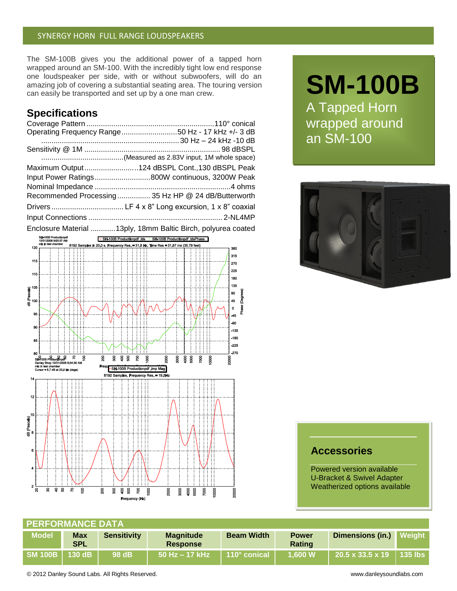### SYNERGY HORN FULL RANGE LOUDSPEAKERS

The SM-100B gives you the additional power of a tapped horn wrapped around an SM-100. With the incredibly tight low end response one loudspeaker per side, with or without subwoofers, will do an amazing job of covering a substantial seating area. The touring version can easily be transported and set up by a one man crew.

# **Specifications**

| Operating Frequency Range50 Hz - 17 kHz +/- 3 dB                                                                                                                                                                                     |
|--------------------------------------------------------------------------------------------------------------------------------------------------------------------------------------------------------------------------------------|
|                                                                                                                                                                                                                                      |
|                                                                                                                                                                                                                                      |
|                                                                                                                                                                                                                                      |
| Maximum Output124 dBSPL Cont.,130 dBSPL Peak                                                                                                                                                                                         |
| Input Power Ratings800W continuous, 3200W Peak                                                                                                                                                                                       |
|                                                                                                                                                                                                                                      |
| Recommended Processing 35 Hz HP @ 24 dB/Butterworth                                                                                                                                                                                  |
|                                                                                                                                                                                                                                      |
|                                                                                                                                                                                                                                      |
| $\blacksquare$ . The contract of the contract of the contract of the contract of the contract of the contract of the contract of the contract of the contract of the contract of the contract of the contract of the contract of the |

Enclosure Material ............13ply, 18mm Baltic Birch, polyurea coated



# **SM-100B**

A Tapped Horn wrapped around an SM-100



## **Accessories**

Powered version available U-Bracket & Swivel Adapter Weatherized options available

| <b>PERFORMANCE DATA</b> |                          |                    |                                     |                   |                               |                                          |  |  |  |
|-------------------------|--------------------------|--------------------|-------------------------------------|-------------------|-------------------------------|------------------------------------------|--|--|--|
| <b>Model</b>            | <b>Max</b><br><b>SPL</b> | <b>Sensitivity</b> | <b>Magnitude</b><br><b>Response</b> | <b>Beam Width</b> | <b>Power</b><br><b>Rating</b> | Dimensions (in.) Weight                  |  |  |  |
|                         |                          | 98 dB              | $50$ Hz $-$ 17 kHz                  | 110° conical      | 1.600 W                       | $\vert$ 20.5 x 33.5 x 19 $\vert$ 135 lbs |  |  |  |